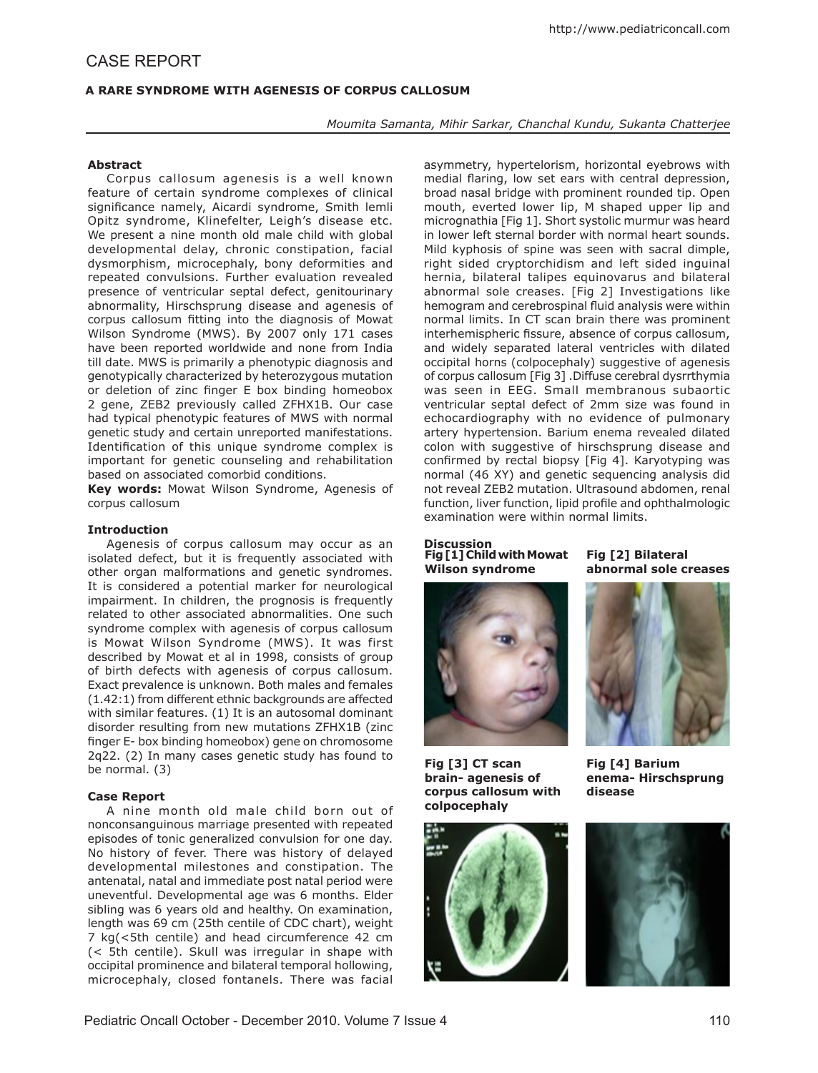# **A RARE SYNDROME WITH AGENESIS OF CORPUS CALLOSUM**

*Moumita Samanta, Mihir Sarkar, Chanchal Kundu, Sukanta Chatterjee* 

### **Abstract**

Corpus callosum agenesis is a well known feature of certain syndrome complexes of clinical significance namely, Aicardi syndrome, Smith lemli Opitz syndrome, Klinefelter, Leigh's disease etc. We present a nine month old male child with global developmental delay, chronic constipation, facial dysmorphism, microcephaly, bony deformities and repeated convulsions. Further evaluation revealed presence of ventricular septal defect, genitourinary abnormality, Hirschsprung disease and agenesis of corpus callosum fitting into the diagnosis of Mowat Wilson Syndrome (MWS). By 2007 only 171 cases have been reported worldwide and none from India till date. MWS is primarily a phenotypic diagnosis and genotypically characterized by heterozygous mutation or deletion of zinc finger E box binding homeobox 2 gene, ZEB2 previously called ZFHX1B. Our case had typical phenotypic features of MWS with normal genetic study and certain unreported manifestations. Identification of this unique syndrome complex is important for genetic counseling and rehabilitation based on associated comorbid conditions.

**Key words:** Mowat Wilson Syndrome, Agenesis of corpus callosum

### **Introduction**

Agenesis of corpus callosum may occur as an isolated defect, but it is frequently associated with other organ malformations and genetic syndromes. It is considered a potential marker for neurological impairment. In children, the prognosis is frequently related to other associated abnormalities. One such syndrome complex with agenesis of corpus callosum is Mowat Wilson Syndrome (MWS). It was first described by Mowat et al in 1998, consists of group of birth defects with agenesis of corpus callosum. Exact prevalence is unknown. Both males and females (1.42:1) from different ethnic backgrounds are affected with similar features. (1) It is an autosomal dominant disorder resulting from new mutations ZFHX1B (zinc finger E- box binding homeobox) gene on chromosome 2q22. (2) In many cases genetic study has found to be normal. (3)

#### **Case Report**

A nine month old male child born out of nonconsanguinous marriage presented with repeated episodes of tonic generalized convulsion for one day. No history of fever. There was history of delayed developmental milestones and constipation. The antenatal, natal and immediate post natal period were uneventful. Developmental age was 6 months. Elder sibling was 6 years old and healthy. On examination, length was 69 cm (25th centile of CDC chart), weight 7 kg(<5th centile) and head circumference 42 cm (< 5th centile). Skull was irregular in shape with occipital prominence and bilateral temporal hollowing, microcephaly, closed fontanels. There was facial asymmetry, hypertelorism, horizontal eyebrows with medial flaring, low set ears with central depression, broad nasal bridge with prominent rounded tip. Open mouth, everted lower lip, M shaped upper lip and micrognathia [Fig 1]. Short systolic murmur was heard in lower left sternal border with normal heart sounds. Mild kyphosis of spine was seen with sacral dimple, right sided cryptorchidism and left sided inguinal hernia, bilateral talipes equinovarus and bilateral abnormal sole creases. [Fig 2] Investigations like hemogram and cerebrospinal fluid analysis were within normal limits. In CT scan brain there was prominent interhemispheric fissure, absence of corpus callosum, and widely separated lateral ventricles with dilated occipital horns (colpocephaly) suggestive of agenesis of corpus callosum [Fig 3] .Diffuse cerebral dysrrthymia was seen in EEG. Small membranous subaortic ventricular septal defect of 2mm size was found in echocardiography with no evidence of pulmonary artery hypertension. Barium enema revealed dilated colon with suggestive of hirschsprung disease and confirmed by rectal biopsy [Fig 4]. Karyotyping was normal (46 XY) and genetic sequencing analysis did not reveal ZEB2 mutation. Ultrasound abdomen, renal function, liver function, lipid profile and ophthalmologic examination were within normal limits.

#### **Discussion Fig [1] Child with Mowat Wilson syndrome**



**Fig [3] CT scan brain- agenesis of corpus callosum with colpocephaly**



**Fig [2] Bilateral abnormal sole creases**



**Fig [4] Barium enema- Hirschsprung disease**